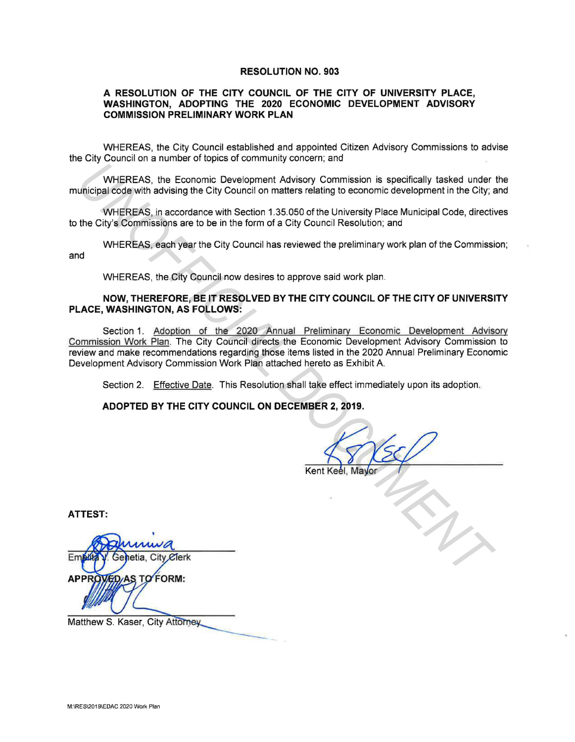#### **RESOLUTION NO. 903**

### **A RESOLUTION OF THE CITY COUNCIL OF THE CITY OF UNIVERSITY PLACE, WASHINGTON, ADOPTING THE 2020 ECONOMIC DEVELOPMENT ADVISORY COMMISSION PRELIMINARY WORK PLAN**

WHEREAS, the City Council established and appointed Citizen Advisory Commissions to advise the City Council on a number of topics of community concern; and

WHEREAS, the Economic Development Advisory Commission is specifically tasked under the municipal code with advising the City Council on matters relating to economic development in the City; and

WHEREAS, in accordance with Section 1.35.050 of the University Place Municipal Code, directives to the City's Commissions are to be in the form of a City Council Resolution; and

WHEREAS, each year the City Council has reviewed the preliminary work plan of the Commission;

and

WHEREAS, the City Council now desires to approve said work plan.

### **NOW, THEREFORE, BE IT RESOLVED BY THE CITY COUNCIL OF THE CITY OF UNIVERSITY PLACE, WASHINGTON, AS FOLLOWS:**

Section 1. Adoption of the 2020 Annual Preliminary Economic Development Advisory Commission Work Plan. The City Council directs the Economic Development Advisory Commission to review and make recommendations regarding those items listed in the 2020 Annual Preliminary Economic Development Advisory Commission Work Plan attached hereto as Exhibit A. WHEREAS, the Economic Development Advisory Commission is specifically tasked under<br>unicipal code with advising the City Council on matters relating to economic development in the City;<br>the City's Commissions are to be in t

Section 2. Effective Date. This Resolution shall take effect immediately upon its adoption.

**ADOPTED BY THE CITY COUNCIL ON DECEMBER 2, 2019.** 

**ATTEST:** 

Matthew S. Kaser, City Attorney